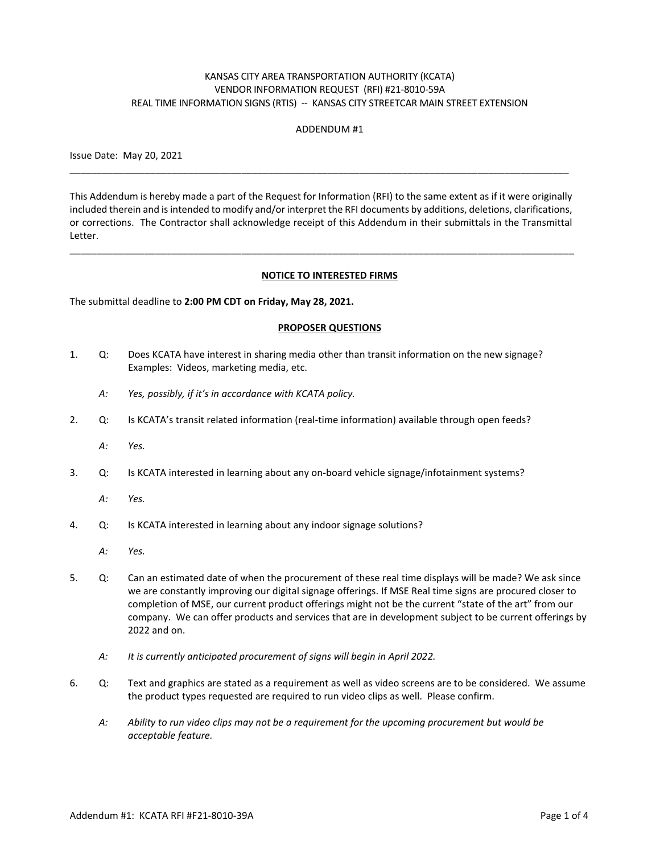# KANSAS CITY AREA TRANSPORTATION AUTHORITY (KCATA) VENDOR INFORMATION REQUEST (RFI) #21-8010-59A REAL TIME INFORMATION SIGNS (RTIS) -- KANSAS CITY STREETCAR MAIN STREET EXTENSION

#### ADDENDUM #1

Issue Date: May 20, 2021

This Addendum is hereby made a part of the Request for Information (RFI) to the same extent as if it were originally included therein and is intended to modify and/or interpret the RFI documents by additions, deletions, clarifications, or corrections. The Contractor shall acknowledge receipt of this Addendum in their submittals in the Transmittal Letter.

\_\_\_\_\_\_\_\_\_\_\_\_\_\_\_\_\_\_\_\_\_\_\_\_\_\_\_\_\_\_\_\_\_\_\_\_\_\_\_\_\_\_\_\_\_\_\_\_\_\_\_\_\_\_\_\_\_\_\_\_\_\_\_\_\_\_\_\_\_\_\_\_\_\_\_\_\_\_\_\_\_\_\_\_\_\_\_\_\_\_\_\_\_\_

\_\_\_\_\_\_\_\_\_\_\_\_\_\_\_\_\_\_\_\_\_\_\_\_\_\_\_\_\_\_\_\_\_\_\_\_\_\_\_\_\_\_\_\_\_\_\_\_\_\_\_\_\_\_\_\_\_\_\_\_\_\_\_\_\_\_\_\_\_\_\_\_\_\_\_\_\_\_\_\_\_\_\_\_\_\_\_\_\_\_\_\_\_

## **NOTICE TO INTERESTED FIRMS**

The submittal deadline to **2:00 PM CDT on Friday, May 28, 2021.** 

## **PROPOSER QUESTIONS**

- 1. Q: Does KCATA have interest in sharing media other than transit information on the new signage? Examples: Videos, marketing media, etc.
	- *A: Yes, possibly, if it's in accordance with KCATA policy.*
- 2. Q: Is KCATA's transit related information (real-time information) available through open feeds?
	- *A: Yes.*
- 3. Q: Is KCATA interested in learning about any on-board vehicle signage/infotainment systems?
	- *A: Yes.*
- 4. Q: Is KCATA interested in learning about any indoor signage solutions?
	- *A: Yes.*
- 5. Q: Can an estimated date of when the procurement of these real time displays will be made? We ask since we are constantly improving our digital signage offerings. If MSE Real time signs are procured closer to completion of MSE, our current product offerings might not be the current "state of the art" from our company. We can offer products and services that are in development subject to be current offerings by 2022 and on.
	- *A: It is currently anticipated procurement of signs will begin in April 2022.*
- 6. Q: Text and graphics are stated as a requirement as well as video screens are to be considered. We assume the product types requested are required to run video clips as well. Please confirm.
	- *A: Ability to run video clips may not be a requirement for the upcoming procurement but would be acceptable feature.*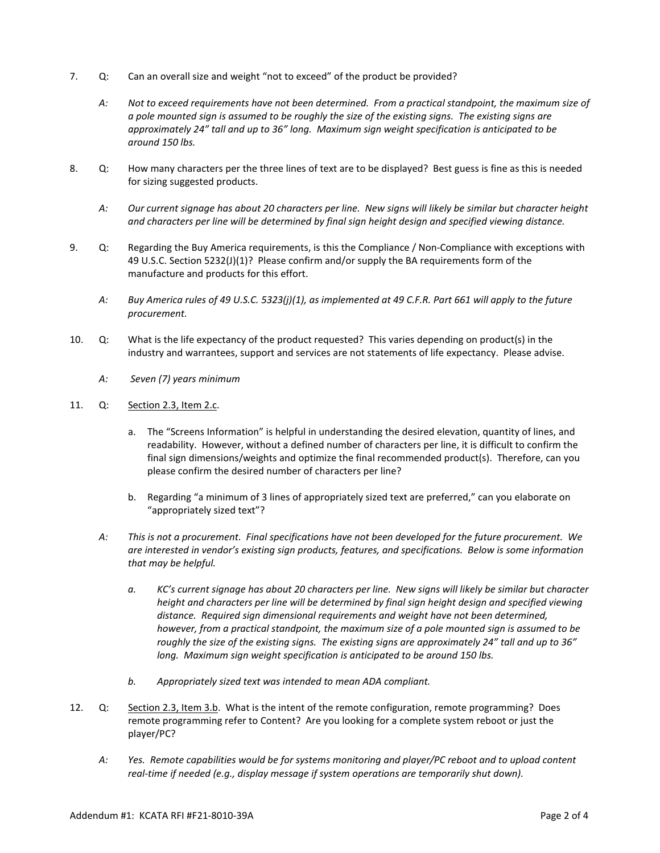- 7. Q: Can an overall size and weight "not to exceed" of the product be provided?
	- *A: Not to exceed requirements have not been determined. From a practical standpoint, the maximum size of a pole mounted sign is assumed to be roughly the size of the existing signs. The existing signs are approximately 24" tall and up to 36" long. Maximum sign weight specification is anticipated to be around 150 lbs.*
- 8. Q: How many characters per the three lines of text are to be displayed? Best guess is fine as this is needed for sizing suggested products.
	- *A: Our current signage has about 20 characters per line. New signs will likely be similar but character height and characters per line will be determined by final sign height design and specified viewing distance.*
- 9. Q: Regarding the Buy America requirements, is this the Compliance / Non-Compliance with exceptions with 49 U.S.C. Section 5232(J)(1)? Please confirm and/or supply the BA requirements form of the manufacture and products for this effort.
	- *A: Buy America rules of 49 U.S.C. 5323(j)(1), as implemented at 49 C.F.R. Part 661 will apply to the future procurement.*
- 10. Q: What is the life expectancy of the product requested? This varies depending on product(s) in the industry and warrantees, support and services are not statements of life expectancy. Please advise.
	- *A: Seven (7) years minimum*
- 11. Q: Section 2.3, Item 2.c.
	- a. The "Screens Information" is helpful in understanding the desired elevation, quantity of lines, and readability. However, without a defined number of characters per line, it is difficult to confirm the final sign dimensions/weights and optimize the final recommended product(s). Therefore, can you please confirm the desired number of characters per line?
	- b. Regarding "a minimum of 3 lines of appropriately sized text are preferred," can you elaborate on "appropriately sized text"?
	- *A: This is not a procurement. Final specifications have not been developed for the future procurement. We are interested in vendor's existing sign products, features, and specifications. Below is some information that may be helpful.* 
		- *a. KC's current signage has about 20 characters per line. New signs will likely be similar but character height and characters per line will be determined by final sign height design and specified viewing distance. Required sign dimensional requirements and weight have not been determined, however, from a practical standpoint, the maximum size of a pole mounted sign is assumed to be roughly the size of the existing signs. The existing signs are approximately 24" tall and up to 36" long. Maximum sign weight specification is anticipated to be around 150 lbs.*
		- *b. Appropriately sized text was intended to mean ADA compliant.*
- 12. Q: Section 2.3, Item 3.b. What is the intent of the remote configuration, remote programming? Does remote programming refer to Content? Are you looking for a complete system reboot or just the player/PC?
	- *A: Yes. Remote capabilities would be for systems monitoring and player/PC reboot and to upload content real-time if needed (e.g., display message if system operations are temporarily shut down).*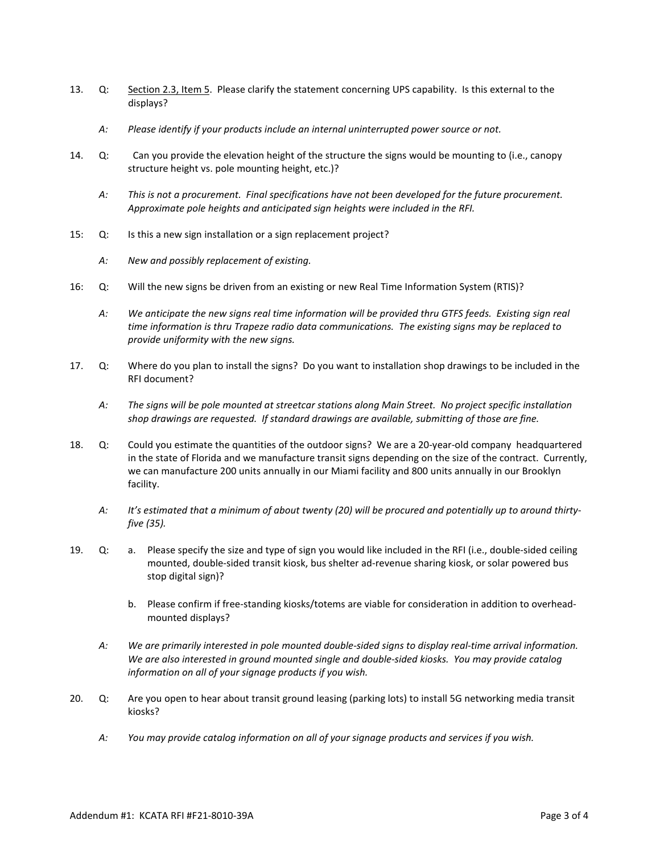- 13. Q: Section 2.3, Item 5. Please clarify the statement concerning UPS capability. Is this external to the displays?
	- *A: Please identify if your products include an internal uninterrupted power source or not.*
- 14. Q: Can you provide the elevation height of the structure the signs would be mounting to (i.e., canopy structure height vs. pole mounting height, etc.)?
	- *A: This is not a procurement. Final specifications have not been developed for the future procurement. Approximate pole heights and anticipated sign heights were included in the RFI.*
- 15: Q: Is this a new sign installation or a sign replacement project?
	- *A: New and possibly replacement of existing.*
- 16: Q: Will the new signs be driven from an existing or new Real Time Information System (RTIS)?
	- *A: We anticipate the new signs real time information will be provided thru GTFS feeds. Existing sign real time information is thru Trapeze radio data communications. The existing signs may be replaced to provide uniformity with the new signs.*
- 17. Q: Where do you plan to install the signs? Do you want to installation shop drawings to be included in the RFI document?
	- *A: The signs will be pole mounted at streetcar stations along Main Street. No project specific installation shop drawings are requested. If standard drawings are available, submitting of those are fine.*
- 18. Q: Could you estimate the quantities of the outdoor signs? We are a 20-year-old company headquartered in the state of Florida and we manufacture transit signs depending on the size of the contract. Currently, we can manufacture 200 units annually in our Miami facility and 800 units annually in our Brooklyn facility.
	- *A: It's estimated that a minimum of about twenty (20) will be procured and potentially up to around thirtyfive (35).*
- 19. Q: a. Please specify the size and type of sign you would like included in the RFI (i.e., double-sided ceiling mounted, double-sided transit kiosk, bus shelter ad-revenue sharing kiosk, or solar powered bus stop digital sign)?
	- b. Please confirm if free-standing kiosks/totems are viable for consideration in addition to overheadmounted displays?
	- *A: We are primarily interested in pole mounted double-sided signs to display real-time arrival information. We are also interested in ground mounted single and double-sided kiosks. You may provide catalog information on all of your signage products if you wish.*
- 20. Q: Are you open to hear about transit ground leasing (parking lots) to install 5G networking media transit kiosks?
	- *A: You may provide catalog information on all of your signage products and services if you wish.*